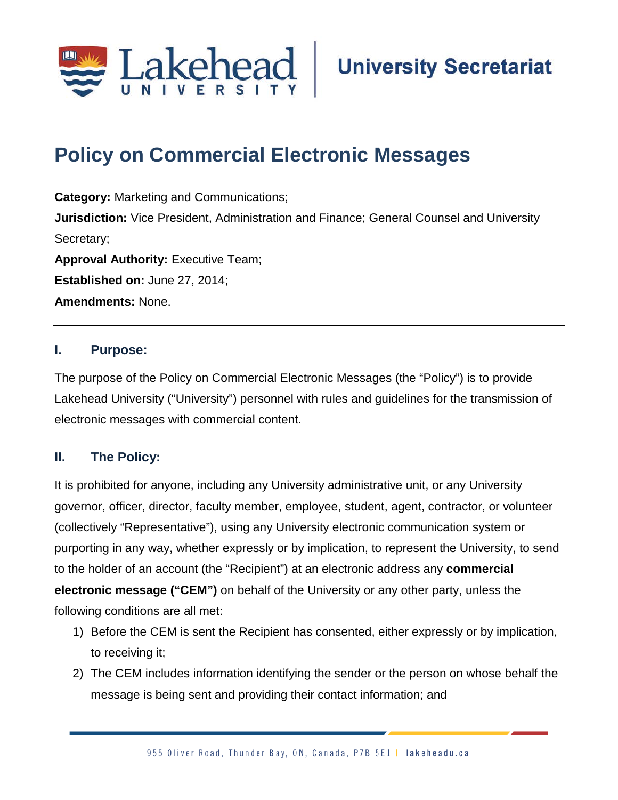

# **Policy on Commercial Electronic Messages**

**Category:** Marketing and Communications; **Jurisdiction:** Vice President, Administration and Finance; General Counsel and University Secretary; **Approval Authority: Executive Team; Established on:** June 27, 2014; **Amendments:** None.

#### **I. Purpose:**

The purpose of the Policy on Commercial Electronic Messages (the "Policy") is to provide Lakehead University ("University") personnel with rules and guidelines for the transmission of electronic messages with commercial content.

#### **II. The Policy:**

It is prohibited for anyone, including any University administrative unit, or any University governor, officer, director, faculty member, employee, student, agent, contractor, or volunteer (collectively "Representative"), using any University electronic communication system or purporting in any way, whether expressly or by implication, to represent the University, to send to the holder of an account (the "Recipient") at an electronic address any **commercial electronic message ("CEM")** on behalf of the University or any other party, unless the following conditions are all met:

- 1) Before the CEM is sent the Recipient has consented, either expressly or by implication, to receiving it;
- 2) The CEM includes information identifying the sender or the person on whose behalf the message is being sent and providing their contact information; and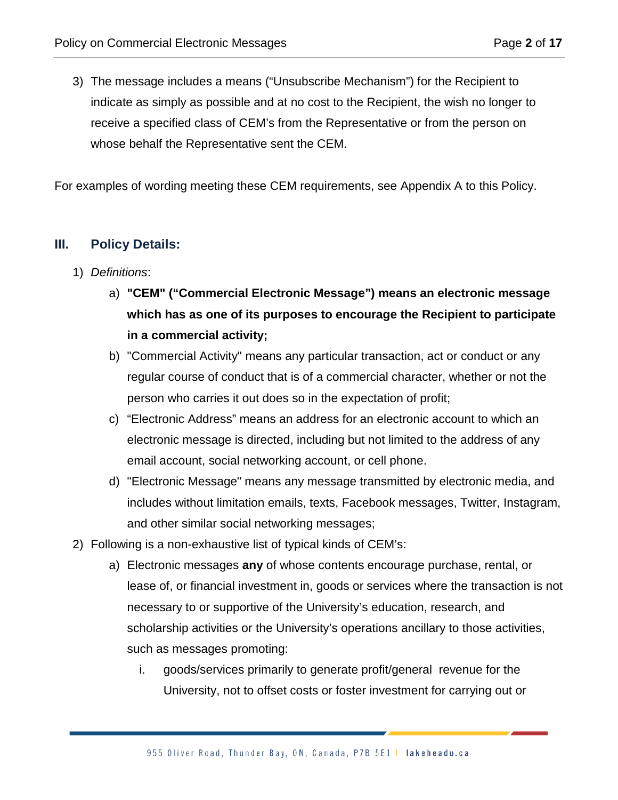3) The message includes a means ("Unsubscribe Mechanism") for the Recipient to indicate as simply as possible and at no cost to the Recipient, the wish no longer to receive a specified class of CEM's from the Representative or from the person on whose behalf the Representative sent the CEM.

For examples of wording meeting these CEM requirements, see Appendix A to this Policy.

### **III. Policy Details:**

- 1) *Definitions*:
	- a) **"CEM" ("Commercial Electronic Message") means an electronic message which has as one of its purposes to encourage the Recipient to participate in a commercial activity;**
	- b) "Commercial Activity" means any particular transaction, act or conduct or any regular course of conduct that is of a commercial character, whether or not the person who carries it out does so in the expectation of profit;
	- c) "Electronic Address" means an address for an electronic account to which an electronic message is directed, including but not limited to the address of any email account, social networking account, or cell phone.
	- d) "Electronic Message" means any message transmitted by electronic media, and includes without limitation emails, texts, Facebook messages, Twitter, Instagram, and other similar social networking messages;
- 2) Following is a non-exhaustive list of typical kinds of CEM's:
	- a) Electronic messages **any** of whose contents encourage purchase, rental, or lease of, or financial investment in, goods or services where the transaction is not necessary to or supportive of the University's education, research, and scholarship activities or the University's operations ancillary to those activities, such as messages promoting:
		- i. goods/services primarily to generate profit/general revenue for the University, not to offset costs or foster investment for carrying out or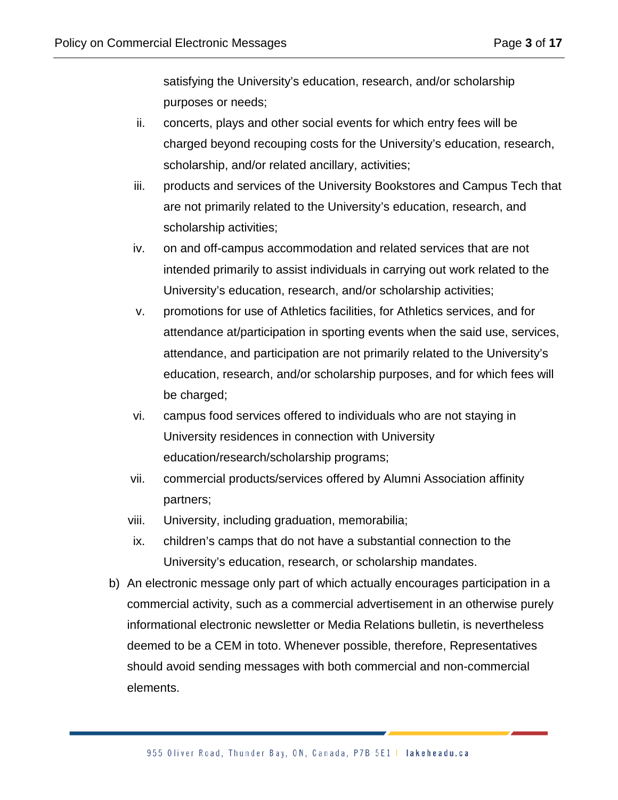satisfying the University's education, research, and/or scholarship purposes or needs;

- ii. concerts, plays and other social events for which entry fees will be charged beyond recouping costs for the University's education, research, scholarship, and/or related ancillary, activities;
- iii. products and services of the University Bookstores and Campus Tech that are not primarily related to the University's education, research, and scholarship activities;
- iv. on and off-campus accommodation and related services that are not intended primarily to assist individuals in carrying out work related to the University's education, research, and/or scholarship activities;
- v. promotions for use of Athletics facilities, for Athletics services, and for attendance at/participation in sporting events when the said use, services, attendance, and participation are not primarily related to the University's education, research, and/or scholarship purposes, and for which fees will be charged;
- vi. campus food services offered to individuals who are not staying in University residences in connection with University education/research/scholarship programs;
- vii. commercial products/services offered by Alumni Association affinity partners;
- viii. University, including graduation, memorabilia;
- ix. children's camps that do not have a substantial connection to the University's education, research, or scholarship mandates.
- b) An electronic message only part of which actually encourages participation in a commercial activity, such as a commercial advertisement in an otherwise purely informational electronic newsletter or Media Relations bulletin, is nevertheless deemed to be a CEM in toto. Whenever possible, therefore, Representatives should avoid sending messages with both commercial and non-commercial elements.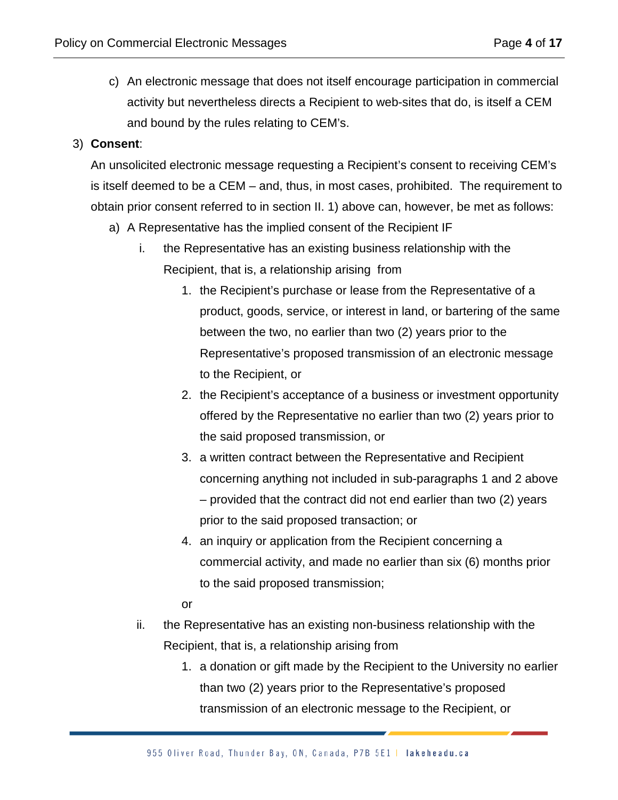c) An electronic message that does not itself encourage participation in commercial activity but nevertheless directs a Recipient to web-sites that do, is itself a CEM and bound by the rules relating to CEM's.

#### 3) **Consent**:

An unsolicited electronic message requesting a Recipient's consent to receiving CEM's is itself deemed to be a CEM – and, thus, in most cases, prohibited. The requirement to obtain prior consent referred to in section II. 1) above can, however, be met as follows:

- a) A Representative has the implied consent of the Recipient IF
	- i. the Representative has an existing business relationship with the Recipient, that is, a relationship arising from
		- 1. the Recipient's purchase or lease from the Representative of a product, goods, service, or interest in land, or bartering of the same between the two, no earlier than two (2) years prior to the Representative's proposed transmission of an electronic message to the Recipient, or
		- 2. the Recipient's acceptance of a business or investment opportunity offered by the Representative no earlier than two (2) years prior to the said proposed transmission, or
		- 3. a written contract between the Representative and Recipient concerning anything not included in sub-paragraphs 1 and 2 above – provided that the contract did not end earlier than two (2) years prior to the said proposed transaction; or
		- 4. an inquiry or application from the Recipient concerning a commercial activity, and made no earlier than six (6) months prior to the said proposed transmission;
		- or
	- ii. the Representative has an existing non-business relationship with the Recipient, that is, a relationship arising from
		- 1. a donation or gift made by the Recipient to the University no earlier than two (2) years prior to the Representative's proposed transmission of an electronic message to the Recipient, or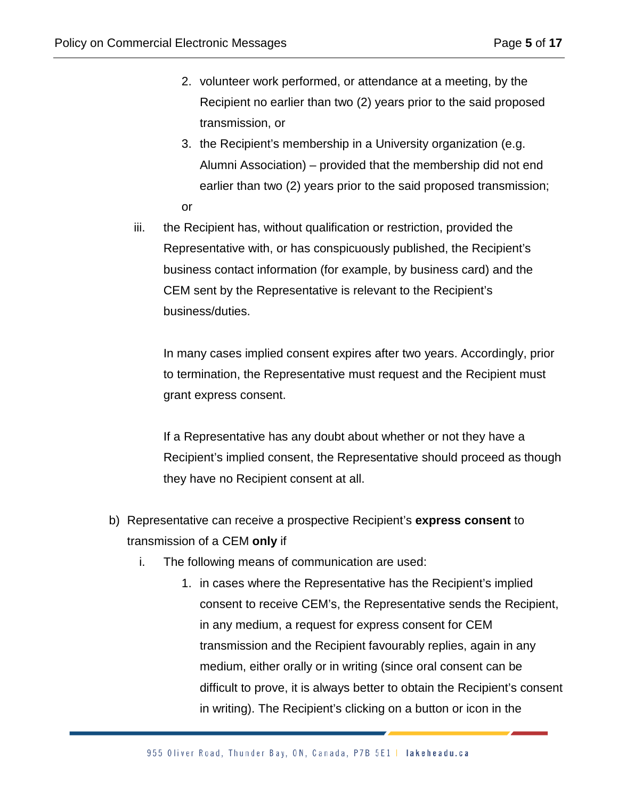- 2. volunteer work performed, or attendance at a meeting, by the Recipient no earlier than two (2) years prior to the said proposed transmission, or
- 3. the Recipient's membership in a University organization (e.g. Alumni Association) – provided that the membership did not end earlier than two (2) years prior to the said proposed transmission; or
- iii. the Recipient has, without qualification or restriction, provided the Representative with, or has conspicuously published, the Recipient's business contact information (for example, by business card) and the CEM sent by the Representative is relevant to the Recipient's business/duties.

In many cases implied consent expires after two years. Accordingly, prior to termination, the Representative must request and the Recipient must grant express consent.

If a Representative has any doubt about whether or not they have a Recipient's implied consent, the Representative should proceed as though they have no Recipient consent at all.

- b) Representative can receive a prospective Recipient's **express consent** to transmission of a CEM **only** if
	- i. The following means of communication are used:
		- 1. in cases where the Representative has the Recipient's implied consent to receive CEM's, the Representative sends the Recipient, in any medium, a request for express consent for CEM transmission and the Recipient favourably replies, again in any medium, either orally or in writing (since oral consent can be difficult to prove, it is always better to obtain the Recipient's consent in writing). The Recipient's clicking on a button or icon in the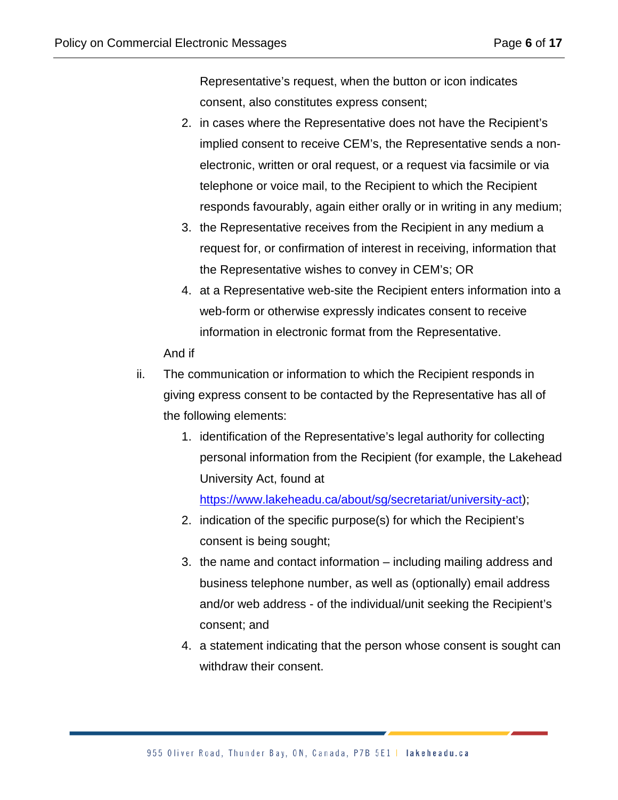Representative's request, when the button or icon indicates consent, also constitutes express consent;

- 2. in cases where the Representative does not have the Recipient's implied consent to receive CEM's, the Representative sends a nonelectronic, written or oral request, or a request via facsimile or via telephone or voice mail, to the Recipient to which the Recipient responds favourably, again either orally or in writing in any medium;
- 3. the Representative receives from the Recipient in any medium a request for, or confirmation of interest in receiving, information that the Representative wishes to convey in CEM's; OR
- 4. at a Representative web-site the Recipient enters information into a web-form or otherwise expressly indicates consent to receive information in electronic format from the Representative.

And if

- ii. The communication or information to which the Recipient responds in giving express consent to be contacted by the Representative has all of the following elements:
	- 1. identification of the Representative's legal authority for collecting personal information from the Recipient (for example, the Lakehead University Act, found at

[https://www.lakeheadu.ca/about/sg/secretariat/university-act\)](https://www.lakeheadu.ca/about/sg/secretariat/university-act);

- 2. indication of the specific purpose(s) for which the Recipient's consent is being sought;
- 3. the name and contact information including mailing address and business telephone number, as well as (optionally) email address and/or web address - of the individual/unit seeking the Recipient's consent; and
- 4. a statement indicating that the person whose consent is sought can withdraw their consent.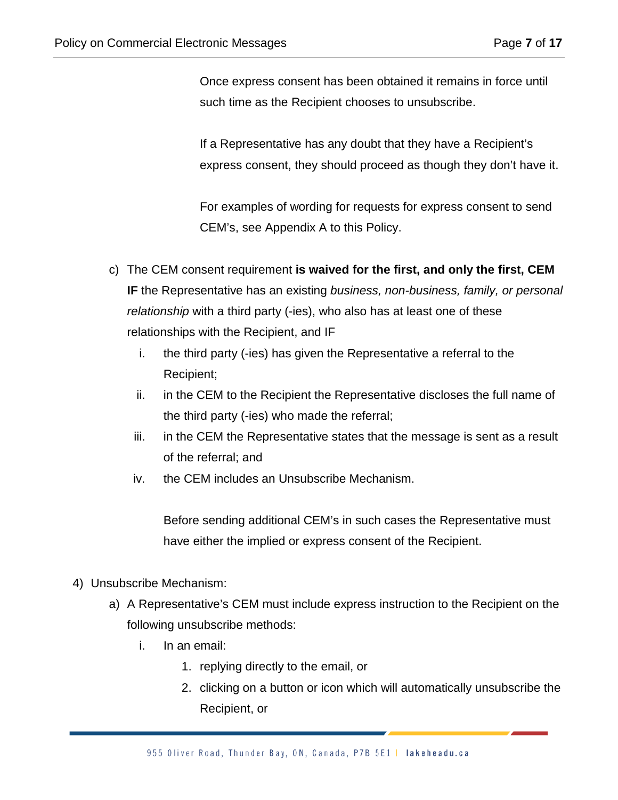Once express consent has been obtained it remains in force until such time as the Recipient chooses to unsubscribe.

If a Representative has any doubt that they have a Recipient's express consent, they should proceed as though they don't have it.

For examples of wording for requests for express consent to send CEM's, see Appendix A to this Policy.

- c) The CEM consent requirement **is waived for the first, and only the first, CEM IF** the Representative has an existing *business, non-business, family, or personal relationship* with a third party (-ies), who also has at least one of these relationships with the Recipient, and IF
	- i. the third party (-ies) has given the Representative a referral to the Recipient;
	- ii. in the CEM to the Recipient the Representative discloses the full name of the third party (-ies) who made the referral;
	- iii. in the CEM the Representative states that the message is sent as a result of the referral; and
	- iv. the CEM includes an Unsubscribe Mechanism.

Before sending additional CEM's in such cases the Representative must have either the implied or express consent of the Recipient.

- 4) Unsubscribe Mechanism:
	- a) A Representative's CEM must include express instruction to the Recipient on the following unsubscribe methods:
		- i. In an email:
			- 1. replying directly to the email, or
			- 2. clicking on a button or icon which will automatically unsubscribe the Recipient, or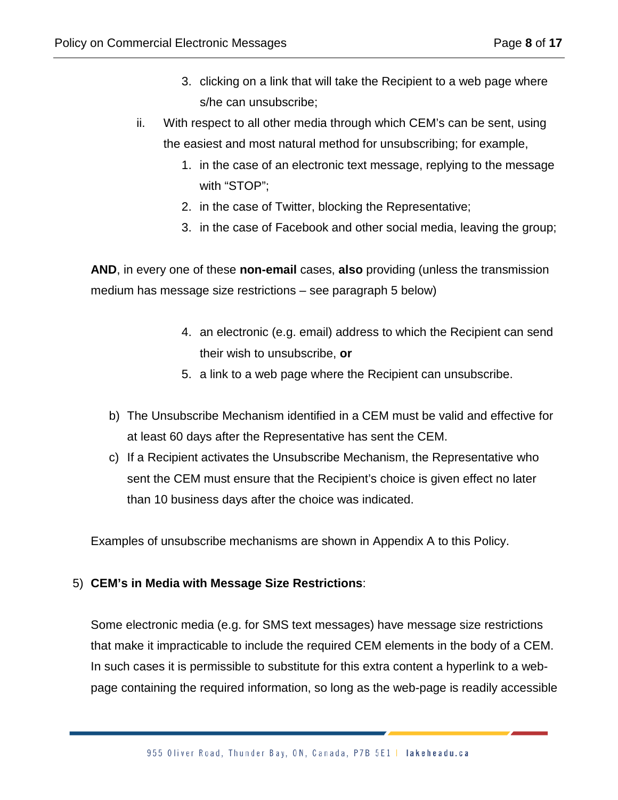- 3. clicking on a link that will take the Recipient to a web page where s/he can unsubscribe;
- ii. With respect to all other media through which CEM's can be sent, using the easiest and most natural method for unsubscribing; for example,
	- 1. in the case of an electronic text message, replying to the message with "STOP";
	- 2. in the case of Twitter, blocking the Representative;
	- 3. in the case of Facebook and other social media, leaving the group;

**AND**, in every one of these **non-email** cases, **also** providing (unless the transmission medium has message size restrictions – see paragraph 5 below)

- 4. an electronic (e.g. email) address to which the Recipient can send their wish to unsubscribe, **or**
- 5. a link to a web page where the Recipient can unsubscribe.
- b) The Unsubscribe Mechanism identified in a CEM must be valid and effective for at least 60 days after the Representative has sent the CEM.
- c) If a Recipient activates the Unsubscribe Mechanism, the Representative who sent the CEM must ensure that the Recipient's choice is given effect no later than 10 business days after the choice was indicated.

Examples of unsubscribe mechanisms are shown in Appendix A to this Policy.

#### 5) **CEM's in Media with Message Size Restrictions**:

Some electronic media (e.g. for SMS text messages) have message size restrictions that make it impracticable to include the required CEM elements in the body of a CEM. In such cases it is permissible to substitute for this extra content a hyperlink to a webpage containing the required information, so long as the web-page is readily accessible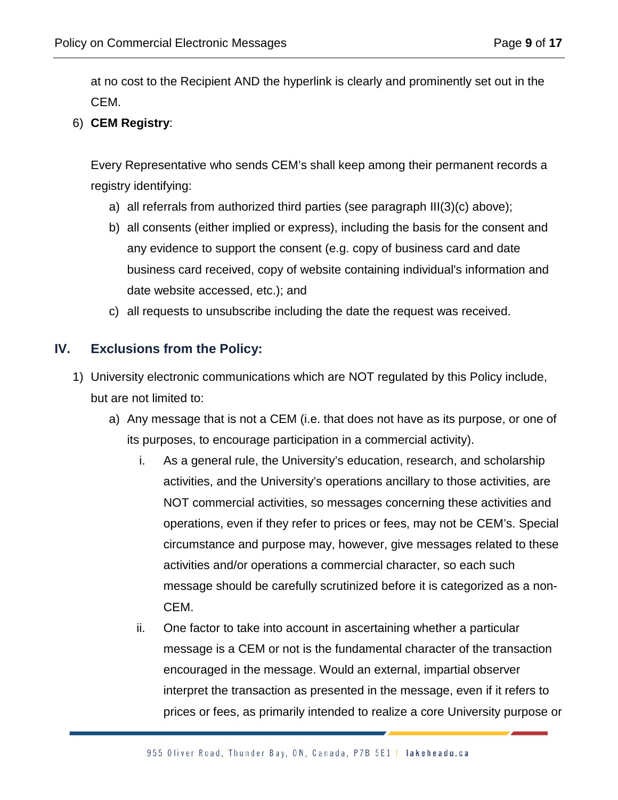at no cost to the Recipient AND the hyperlink is clearly and prominently set out in the CEM.

6) **CEM Registry**:

Every Representative who sends CEM's shall keep among their permanent records a registry identifying:

- a) all referrals from authorized third parties (see paragraph III(3)(c) above);
- b) all consents (either implied or express), including the basis for the consent and any evidence to support the consent (e.g. copy of business card and date business card received, copy of website containing individual's information and date website accessed, etc.); and
- c) all requests to unsubscribe including the date the request was received.

# **IV. Exclusions from the Policy:**

- 1) University electronic communications which are NOT regulated by this Policy include, but are not limited to:
	- a) Any message that is not a CEM (i.e. that does not have as its purpose, or one of its purposes, to encourage participation in a commercial activity).
		- i. As a general rule, the University's education, research, and scholarship activities, and the University's operations ancillary to those activities, are NOT commercial activities, so messages concerning these activities and operations, even if they refer to prices or fees, may not be CEM's. Special circumstance and purpose may, however, give messages related to these activities and/or operations a commercial character, so each such message should be carefully scrutinized before it is categorized as a non-CEM.
		- ii. One factor to take into account in ascertaining whether a particular message is a CEM or not is the fundamental character of the transaction encouraged in the message. Would an external, impartial observer interpret the transaction as presented in the message, even if it refers to prices or fees, as primarily intended to realize a core University purpose or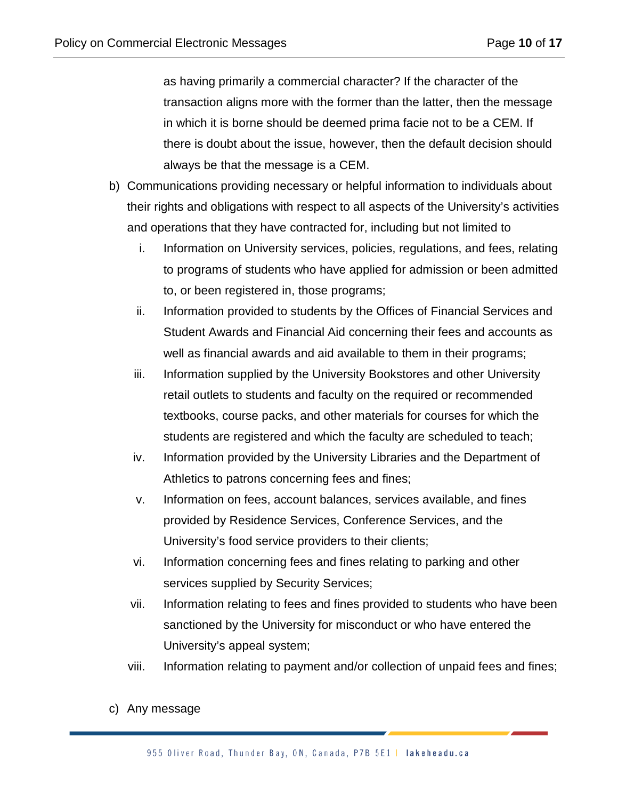as having primarily a commercial character? If the character of the transaction aligns more with the former than the latter, then the message in which it is borne should be deemed prima facie not to be a CEM. If there is doubt about the issue, however, then the default decision should always be that the message is a CEM.

- b) Communications providing necessary or helpful information to individuals about their rights and obligations with respect to all aspects of the University's activities and operations that they have contracted for, including but not limited to
	- i. Information on University services, policies, regulations, and fees, relating to programs of students who have applied for admission or been admitted to, or been registered in, those programs;
	- ii. Information provided to students by the Offices of Financial Services and Student Awards and Financial Aid concerning their fees and accounts as well as financial awards and aid available to them in their programs;
	- iii. Information supplied by the University Bookstores and other University retail outlets to students and faculty on the required or recommended textbooks, course packs, and other materials for courses for which the students are registered and which the faculty are scheduled to teach;
	- iv. Information provided by the University Libraries and the Department of Athletics to patrons concerning fees and fines;
	- v. Information on fees, account balances, services available, and fines provided by Residence Services, Conference Services, and the University's food service providers to their clients;
	- vi. Information concerning fees and fines relating to parking and other services supplied by Security Services;
	- vii. Information relating to fees and fines provided to students who have been sanctioned by the University for misconduct or who have entered the University's appeal system;
	- viii. Information relating to payment and/or collection of unpaid fees and fines;
- c) Any message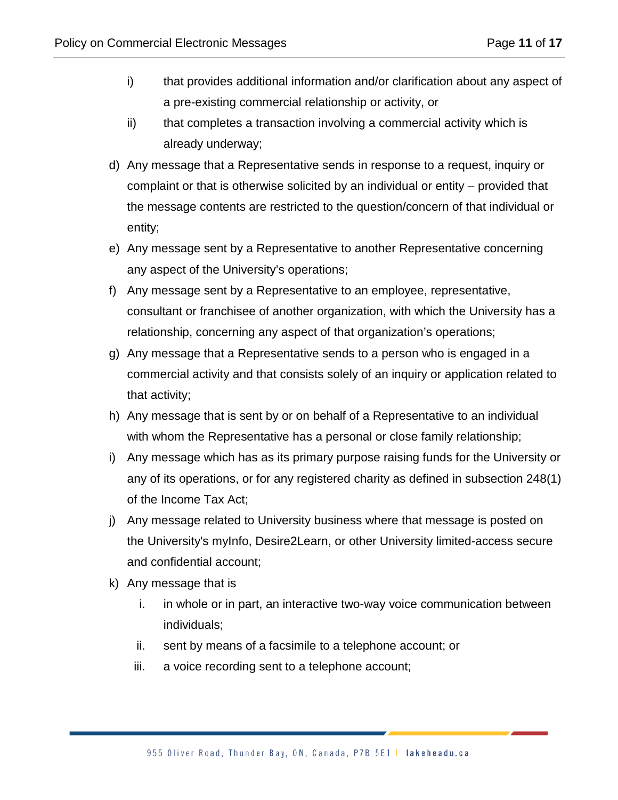- i) that provides additional information and/or clarification about any aspect of a pre-existing commercial relationship or activity, or
- ii) that completes a transaction involving a commercial activity which is already underway;
- d) Any message that a Representative sends in response to a request, inquiry or complaint or that is otherwise solicited by an individual or entity – provided that the message contents are restricted to the question/concern of that individual or entity;
- e) Any message sent by a Representative to another Representative concerning any aspect of the University's operations;
- f) Any message sent by a Representative to an employee, representative, consultant or franchisee of another organization, with which the University has a relationship, concerning any aspect of that organization's operations;
- g) Any message that a Representative sends to a person who is engaged in a commercial activity and that consists solely of an inquiry or application related to that activity;
- h) Any message that is sent by or on behalf of a Representative to an individual with whom the Representative has a personal or close family relationship;
- i) Any message which has as its primary purpose raising funds for the University or any of its operations, or for any registered charity as defined in subsection 248(1) of the Income Tax Act;
- j) Any message related to University business where that message is posted on the University's myInfo, Desire2Learn, or other University limited-access secure and confidential account;
- k) Any message that is
	- i. in whole or in part, an interactive two-way voice communication between individuals;
	- ii. sent by means of a facsimile to a telephone account; or
	- iii. a voice recording sent to a telephone account;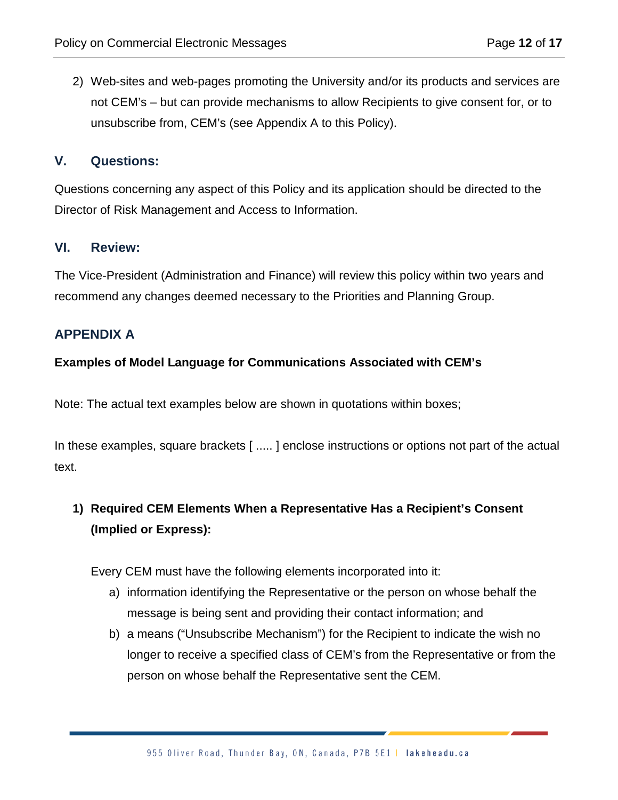2) Web-sites and web-pages promoting the University and/or its products and services are not CEM's – but can provide mechanisms to allow Recipients to give consent for, or to unsubscribe from, CEM's (see Appendix A to this Policy).

#### **V. Questions:**

Questions concerning any aspect of this Policy and its application should be directed to the Director of Risk Management and Access to Information.

#### **VI. Review:**

The Vice-President (Administration and Finance) will review this policy within two years and recommend any changes deemed necessary to the Priorities and Planning Group.

# **APPENDIX A**

#### **Examples of Model Language for Communications Associated with CEM's**

Note: The actual text examples below are shown in quotations within boxes;

In these examples, square brackets [ ..... ] enclose instructions or options not part of the actual text.

# **1) Required CEM Elements When a Representative Has a Recipient's Consent (Implied or Express):**

Every CEM must have the following elements incorporated into it:

- a) information identifying the Representative or the person on whose behalf the message is being sent and providing their contact information; and
- b) a means ("Unsubscribe Mechanism") for the Recipient to indicate the wish no longer to receive a specified class of CEM's from the Representative or from the person on whose behalf the Representative sent the CEM.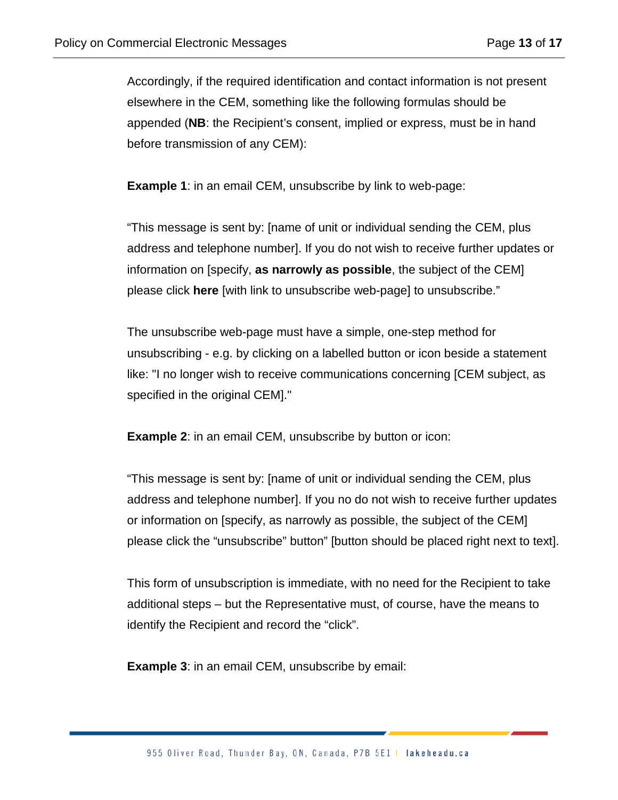Accordingly, if the required identification and contact information is not present elsewhere in the CEM, something like the following formulas should be appended (**NB**: the Recipient's consent, implied or express, must be in hand before transmission of any CEM):

**Example 1:** in an email CEM, unsubscribe by link to web-page:

"This message is sent by: [name of unit or individual sending the CEM, plus address and telephone number]. If you do not wish to receive further updates or information on [specify, **as narrowly as possible**, the subject of the CEM] please click **here** [with link to unsubscribe web-page] to unsubscribe."

The unsubscribe web-page must have a simple, one-step method for unsubscribing - e.g. by clicking on a labelled button or icon beside a statement like: "I no longer wish to receive communications concerning [CEM subject, as specified in the original CEM]."

**Example 2:** in an email CEM, unsubscribe by button or icon:

"This message is sent by: [name of unit or individual sending the CEM, plus address and telephone number]. If you no do not wish to receive further updates or information on [specify, as narrowly as possible, the subject of the CEM] please click the "unsubscribe" button" [button should be placed right next to text].

This form of unsubscription is immediate, with no need for the Recipient to take additional steps – but the Representative must, of course, have the means to identify the Recipient and record the "click".

**Example 3**: in an email CEM, unsubscribe by email: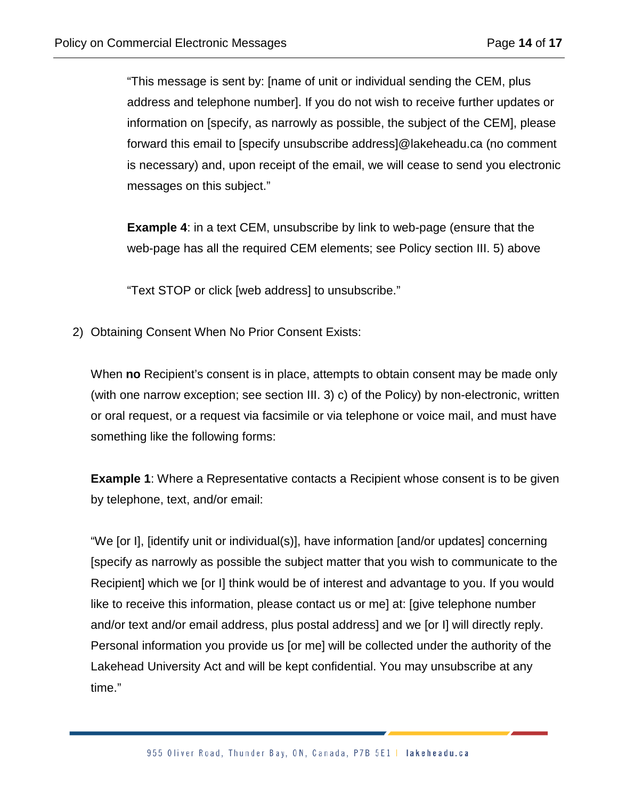"This message is sent by: [name of unit or individual sending the CEM, plus address and telephone number]. If you do not wish to receive further updates or information on [specify, as narrowly as possible, the subject of the CEM], please forward this email to [specify unsubscribe address]@lakeheadu.ca (no comment is necessary) and, upon receipt of the email, we will cease to send you electronic messages on this subject."

**Example 4**: in a text CEM, unsubscribe by link to web-page (ensure that the web-page has all the required CEM elements; see Policy section III. 5) above

"Text STOP or click [web address] to unsubscribe."

2) Obtaining Consent When No Prior Consent Exists:

When **no** Recipient's consent is in place, attempts to obtain consent may be made only (with one narrow exception; see section III. 3) c) of the Policy) by non-electronic, written or oral request, or a request via facsimile or via telephone or voice mail, and must have something like the following forms:

**Example 1:** Where a Representative contacts a Recipient whose consent is to be given by telephone, text, and/or email:

"We [or I], [identify unit or individual(s)], have information [and/or updates] concerning [specify as narrowly as possible the subject matter that you wish to communicate to the Recipient] which we [or I] think would be of interest and advantage to you. If you would like to receive this information, please contact us or me] at: [give telephone number and/or text and/or email address, plus postal address] and we [or I] will directly reply. Personal information you provide us [or me] will be collected under the authority of the Lakehead University Act and will be kept confidential. You may unsubscribe at any time."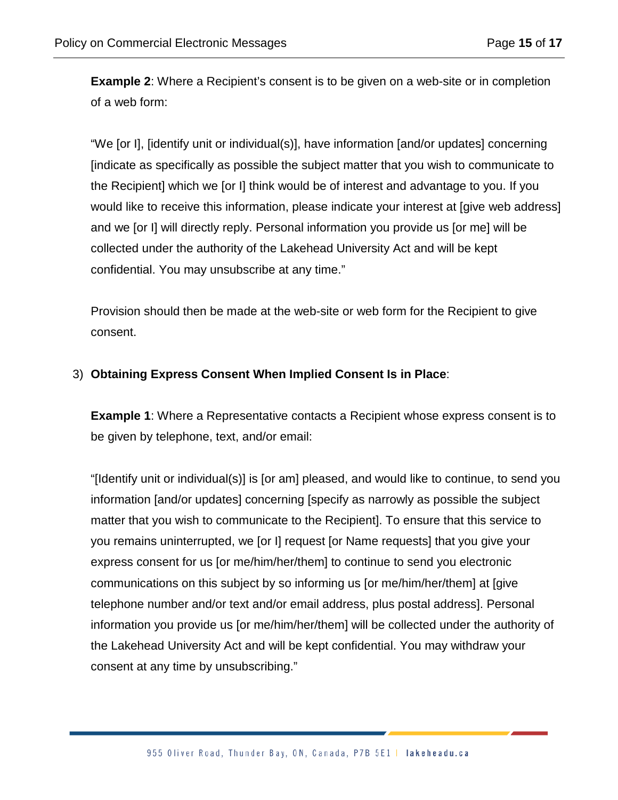**Example 2:** Where a Recipient's consent is to be given on a web-site or in completion of a web form:

"We [or I], [identify unit or individual(s)], have information [and/or updates] concerning [indicate as specifically as possible the subject matter that you wish to communicate to the Recipient] which we [or I] think would be of interest and advantage to you. If you would like to receive this information, please indicate your interest at [give web address] and we [or I] will directly reply. Personal information you provide us [or me] will be collected under the authority of the Lakehead University Act and will be kept confidential. You may unsubscribe at any time."

Provision should then be made at the web-site or web form for the Recipient to give consent.

#### 3) **Obtaining Express Consent When Implied Consent Is in Place**:

**Example 1**: Where a Representative contacts a Recipient whose express consent is to be given by telephone, text, and/or email:

"[Identify unit or individual(s)] is [or am] pleased, and would like to continue, to send you information [and/or updates] concerning [specify as narrowly as possible the subject matter that you wish to communicate to the Recipient]. To ensure that this service to you remains uninterrupted, we [or I] request [or Name requests] that you give your express consent for us [or me/him/her/them] to continue to send you electronic communications on this subject by so informing us [or me/him/her/them] at [give telephone number and/or text and/or email address, plus postal address]. Personal information you provide us [or me/him/her/them] will be collected under the authority of the Lakehead University Act and will be kept confidential. You may withdraw your consent at any time by unsubscribing."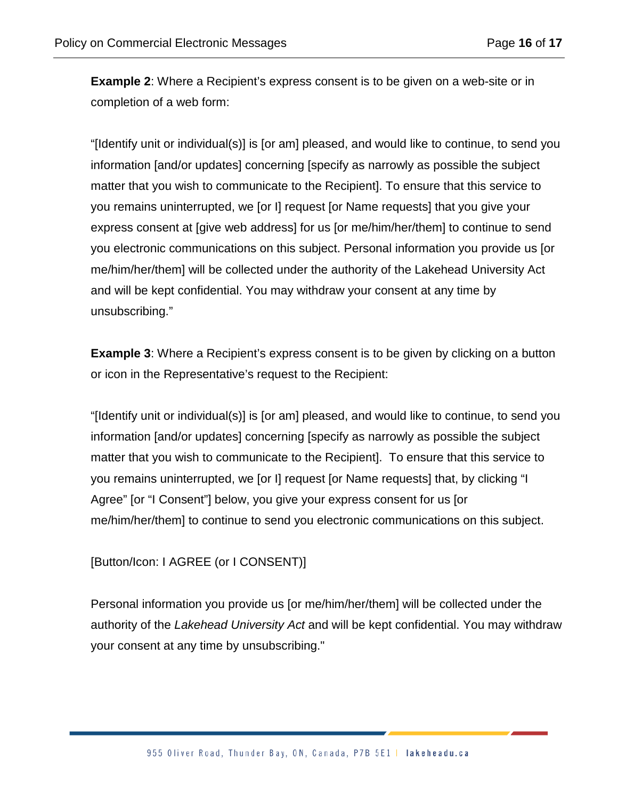**Example 2**: Where a Recipient's express consent is to be given on a web-site or in completion of a web form:

"[Identify unit or individual(s)] is [or am] pleased, and would like to continue, to send you information [and/or updates] concerning [specify as narrowly as possible the subject matter that you wish to communicate to the Recipient]. To ensure that this service to you remains uninterrupted, we [or I] request [or Name requests] that you give your express consent at [give web address] for us [or me/him/her/them] to continue to send you electronic communications on this subject. Personal information you provide us [or me/him/her/them] will be collected under the authority of the Lakehead University Act and will be kept confidential. You may withdraw your consent at any time by unsubscribing."

**Example 3:** Where a Recipient's express consent is to be given by clicking on a button or icon in the Representative's request to the Recipient:

"[Identify unit or individual(s)] is [or am] pleased, and would like to continue, to send you information [and/or updates] concerning [specify as narrowly as possible the subject matter that you wish to communicate to the Recipient]. To ensure that this service to you remains uninterrupted, we [or I] request [or Name requests] that, by clicking "I Agree" [or "I Consent"] below, you give your express consent for us [or me/him/her/them] to continue to send you electronic communications on this subject.

[Button/Icon: I AGREE (or I CONSENT)]

Personal information you provide us [or me/him/her/them] will be collected under the authority of the *Lakehead University Act* and will be kept confidential. You may withdraw your consent at any time by unsubscribing."